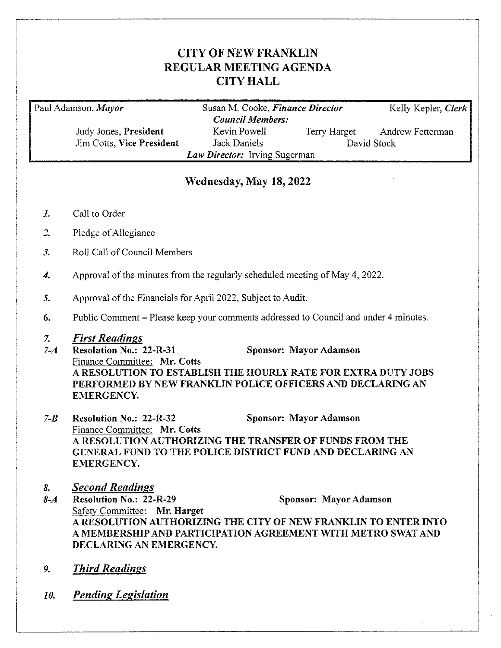## **CITY OF NEW FRANKLIN** REGULAR MEETING AGENDA **CITY HALL**

Paul Adamson, Mayor

Judy Jones, President Jim Cotts, Vice President

Susan M. Cooke, Finance Director **Council Members:** Kevin Powell **Terry Harget** David Stock Jack Daniels Law Director: Irving Sugerman

Andrew Fetterman

Kelly Kepler, Clerk

# Wednesday, May 18, 2022

- Call to Order  $\boldsymbol{I}$ .
- $\overline{2}$ . Pledge of Allegiance
- $\overline{\mathcal{Z}}$ Roll Call of Council Members
- Approval of the minutes from the regularly scheduled meeting of May 4, 2022.  $\boldsymbol{4}$ .
- 5. Approval of the Financials for April 2022, Subject to Audit.
- Public Comment Please keep your comments addressed to Council and under 4 minutes. 6.

#### **First Readings** 7.

- **Resolution No.: 22-R-31**  $7 - 4$ Sponsor: Mayor Adamson Finance Committee: Mr. Cotts A RESOLUTION TO ESTABLISH THE HOURLY RATE FOR EXTRA DUTY JOBS PERFORMED BY NEW FRANKLIN POLICE OFFICERS AND DECLARING AN **EMERGENCY.**
- $7 B$ Sponsor: Mayor Adamson **Resolution No.: 22-R-32** Finance Committee: Mr. Cotts A RESOLUTION AUTHORIZING THE TRANSFER OF FUNDS FROM THE GENERAL FUND TO THE POLICE DISTRICT FUND AND DECLARING AN **EMERGENCY.**
- **Second Readings** 8.

Resolution No.: 22-R-29  $8 - A$ Sponsor: Mayor Adamson Safety Committee: Mr. Harget A RESOLUTION AUTHORIZING THE CITY OF NEW FRANKLIN TO ENTER INTO A MEMBERSHIP AND PARTICIPATION AGREEMENT WITH METRO SWAT AND DECLARING AN EMERGENCY.

- **Third Readings** 9.
- **Pending Legislation** 10.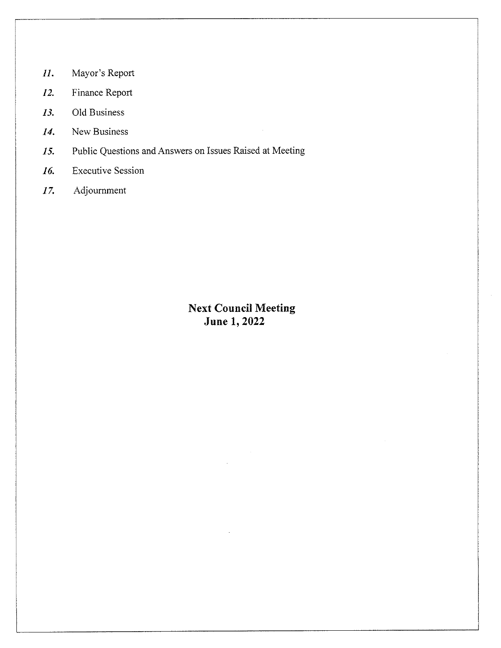- Mayor's Report  $II.$
- Finance Report 12.
- Old Business 13.
- New Business 14.
- Public Questions and Answers on Issues Raised at Meeting 15.
- 16. **Executive Session**
- $17.$ Adjournment

# **Next Council Meeting June 1, 2022**

 $\sim$   $\sim$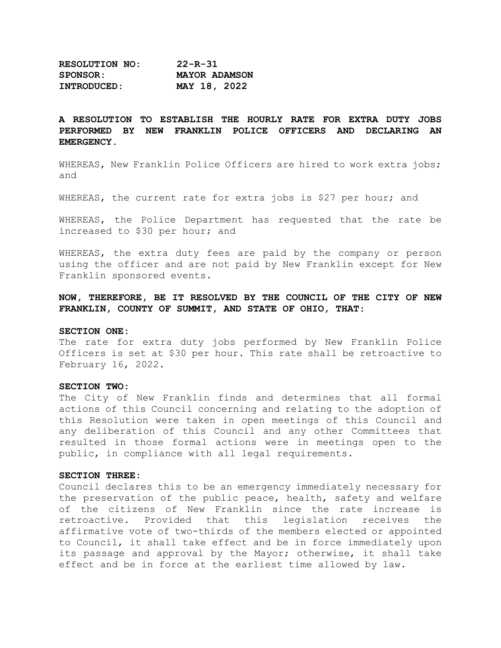| <b>RESOLUTION NO:</b> | $22 - R - 31$        |  |
|-----------------------|----------------------|--|
| <b>SPONSOR:</b>       | <b>MAYOR ADAMSON</b> |  |
| <b>INTRODUCED:</b>    | MAY 18, 2022         |  |

### **A RESOLUTION TO ESTABLISH THE HOURLY RATE FOR EXTRA DUTY JOBS PERFORMED BY NEW FRANKLIN POLICE OFFICERS AND DECLARING AN EMERGENCY.**

WHEREAS, New Franklin Police Officers are hired to work extra jobs; and

WHEREAS, the current rate for extra jobs is \$27 per hour; and

WHEREAS, the Police Department has requested that the rate be increased to \$30 per hour; and

WHEREAS, the extra duty fees are paid by the company or person using the officer and are not paid by New Franklin except for New Franklin sponsored events.

**NOW, THEREFORE, BE IT RESOLVED BY THE COUNCIL OF THE CITY OF NEW FRANKLIN, COUNTY OF SUMMIT, AND STATE OF OHIO, THAT**:

#### **SECTION ONE:**

The rate for extra duty jobs performed by New Franklin Police Officers is set at \$30 per hour. This rate shall be retroactive to February 16, 2022.

#### **SECTION TWO:**

The City of New Franklin finds and determines that all formal actions of this Council concerning and relating to the adoption of this Resolution were taken in open meetings of this Council and any deliberation of this Council and any other Committees that resulted in those formal actions were in meetings open to the public, in compliance with all legal requirements.

#### **SECTION THREE:**

Council declares this to be an emergency immediately necessary for the preservation of the public peace, health, safety and welfare of the citizens of New Franklin since the rate increase is<br>retroactive. Provided that this legislation receives the retroactive. Provided that this legislation receives the affirmative vote of two-thirds of the members elected or appointed to Council, it shall take effect and be in force immediately upon its passage and approval by the Mayor; otherwise, it shall take effect and be in force at the earliest time allowed by law.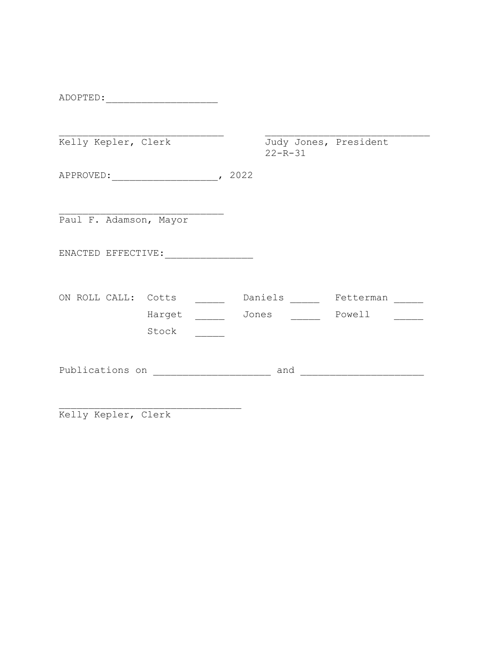| ADOPTED:               |        |                                        |           |  |
|------------------------|--------|----------------------------------------|-----------|--|
|                        |        |                                        |           |  |
| Kelly Kepler, Clerk    |        | Judy Jones, President<br>$22 - R - 31$ |           |  |
| APPROVED: 2022         |        |                                        |           |  |
|                        |        |                                        |           |  |
| Paul F. Adamson, Mayor |        |                                        |           |  |
| ENACTED EFFECTIVE:     |        |                                        |           |  |
| ON ROLL CALL: Cotts    |        | Daniels                                | Fetterman |  |
|                        |        |                                        |           |  |
|                        | Harget | Jones                                  | Powell    |  |
|                        | Stock  |                                        |           |  |
|                        |        |                                        |           |  |
| Publications on        |        | and                                    |           |  |
|                        |        |                                        |           |  |

\_\_\_\_\_\_\_\_\_\_\_\_\_\_\_\_\_\_\_\_\_\_\_\_\_\_\_\_\_\_\_ Kelly Kepler, Clerk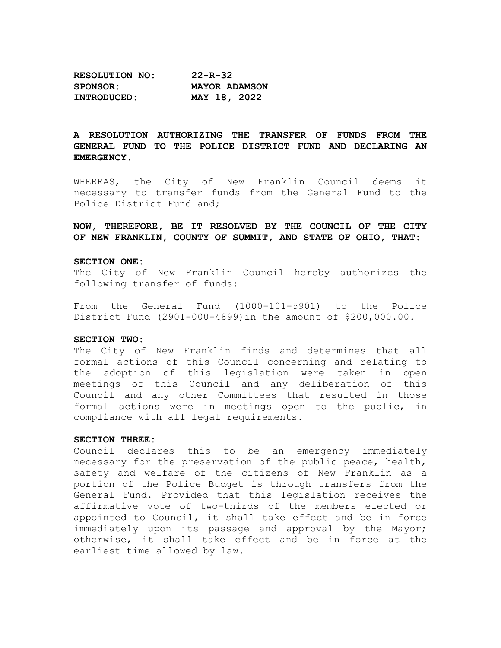| <b>RESOLUTION NO:</b> | $22 - R - 32$        |
|-----------------------|----------------------|
| <b>SPONSOR:</b>       | <b>MAYOR ADAMSON</b> |
| INTRODUCED:           | MAY 18, 2022         |

### **A RESOLUTION AUTHORIZING THE TRANSFER OF FUNDS FROM THE GENERAL FUND TO THE POLICE DISTRICT FUND AND DECLARING AN EMERGENCY.**

WHEREAS, the City of New Franklin Council deems it necessary to transfer funds from the General Fund to the Police District Fund and;

**NOW, THEREFORE, BE IT RESOLVED BY THE COUNCIL OF THE CITY OF NEW FRANKLIN, COUNTY OF SUMMIT, AND STATE OF OHIO, THAT:**

#### **SECTION ONE:**

The City of New Franklin Council hereby authorizes the following transfer of funds:

From the General Fund (1000-101-5901) to the Police District Fund (2901-000-4899)in the amount of \$200,000.00.

#### **SECTION TWO:**

The City of New Franklin finds and determines that all formal actions of this Council concerning and relating to<br>the adoption of this legislation were taken in open adoption of this legislation were taken meetings of this Council and any deliberation of this Council and any other Committees that resulted in those formal actions were in meetings open to the public, in compliance with all legal requirements.

### **SECTION THREE:**

Council declares this to be an emergency immediately necessary for the preservation of the public peace, health, safety and welfare of the citizens of New Franklin as a portion of the Police Budget is through transfers from the General Fund. Provided that this legislation receives the affirmative vote of two-thirds of the members elected or appointed to Council, it shall take effect and be in force immediately upon its passage and approval by the Mayor; otherwise, it shall take effect and be in force at the earliest time allowed by law.